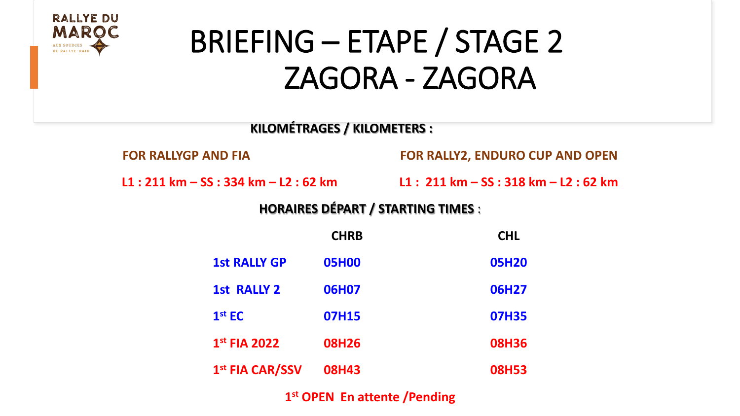

# BRIEFING – ETAPE / STAGE 2 ZAGORA - ZAGORA

**KILOMÉTRAGES / KILOMETERS :**

**FOR RALLYGP AND FIA FOR RALLY2, ENDURO CUP AND OPEN**

**L1 : 211 km – SS : 334 km – L2 : 62 km L1 : 211 km – SS : 318 km – L2 : 62 km**

**HORAIRES DÉPART / STARTING TIMES** :

|                             | <b>CHRB</b>  | <b>CHL</b>   |
|-----------------------------|--------------|--------------|
| <b>1st RALLY GP</b>         | <b>05H00</b> | <b>05H20</b> |
| <b>1st RALLY 2</b>          | <b>06H07</b> | <b>06H27</b> |
| $1st$ EC                    | <b>07H15</b> | <b>07H35</b> |
| $1st$ FIA 2022              | <b>08H26</b> | <b>08H36</b> |
| 1 <sup>st</sup> FIA CAR/SSV | <b>08H43</b> | <b>08H53</b> |

**1 st OPEN En attente /Pending**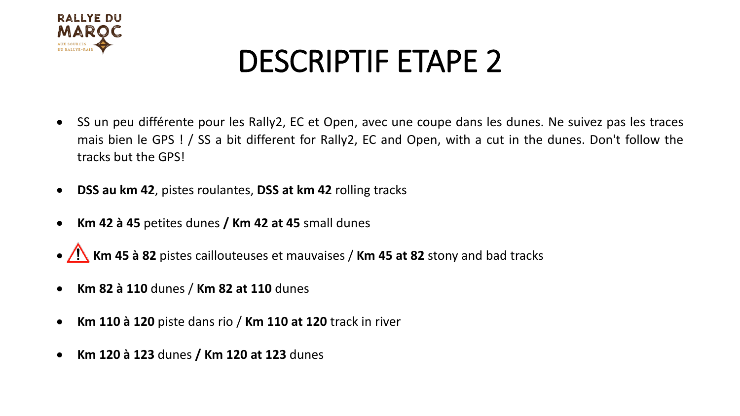

### DESCRIPTIF ETAPE 2

- SS un peu différente pour les Rally2, EC et Open, avec une coupe dans les dunes. Ne suivez pas les traces mais bien le GPS ! / SS a bit different for Rally2, EC and Open, with a cut in the dunes. Don't follow the tracks but the GPS!
- **DSS au km 42**, pistes roulantes, **DSS at km 42** rolling tracks
- **Km 42 à 45** petites dunes **/ Km 42 at 45** small dunes
- **Km 45 à 82** pistes caillouteuses et mauvaises / **Km 45 at 82** stony and bad tracks
- **Km 82 à 110** dunes / **Km 82 at 110** dunes
- **Km 110 à 120** piste dans rio / **Km 110 at 120** track in river
- **Km 120 à 123** dunes **/ Km 120 at 123** dunes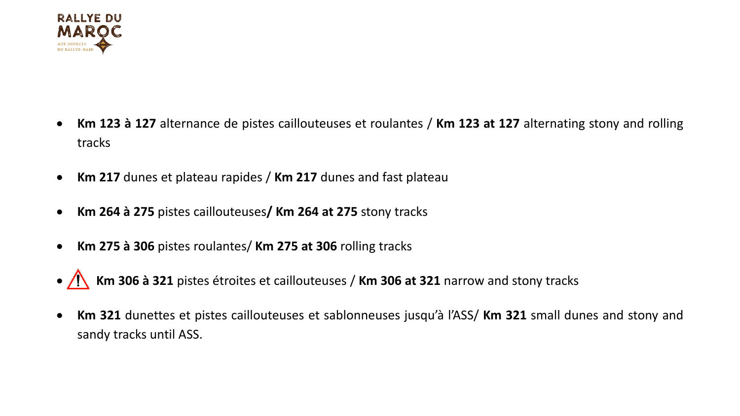

- **Km 123 à 127** alternance de pistes caillouteuses et roulantes / **Km 123 at 127** alternating stony and rolling tracks
- **Km 217** dunes et plateau rapides / **Km 217** dunes and fast plateau
- **Km 264 à 275** pistes caillouteuses**/ Km 264 at 275** stony tracks
- **Km 275 à 306** pistes roulantes/ **Km 275 at 306** rolling tracks
- **Km 306 à 321** pistes étroites et caillouteuses / **Km 306 at 321** narrow and stony tracks
- **Km 321** dunettes et pistes caillouteuses et sablonneuses jusqu'à l'ASS/ **Km 321** small dunes and stony and sandy tracks until ASS.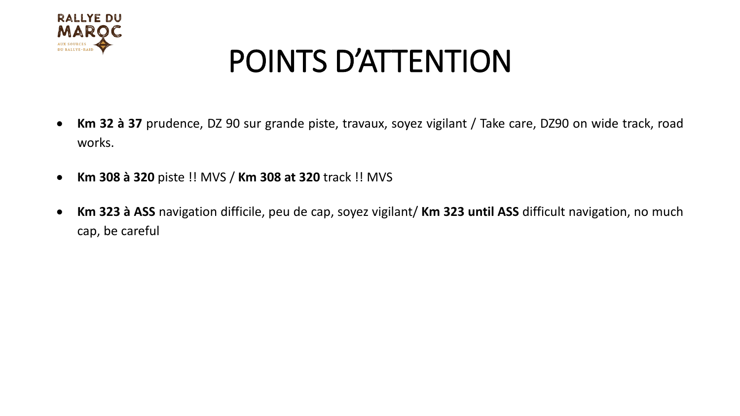

# POINTS D'ATTENTION

- **Km 32 à 37** prudence, DZ 90 sur grande piste, travaux, soyez vigilant / Take care, DZ90 on wide track, road works.
- **Km 308 à 320** piste !! MVS / **Km 308 at 320** track !! MVS
- **Km 323 à ASS** navigation difficile, peu de cap, soyez vigilant/ **Km 323 until ASS** difficult navigation, no much cap, be careful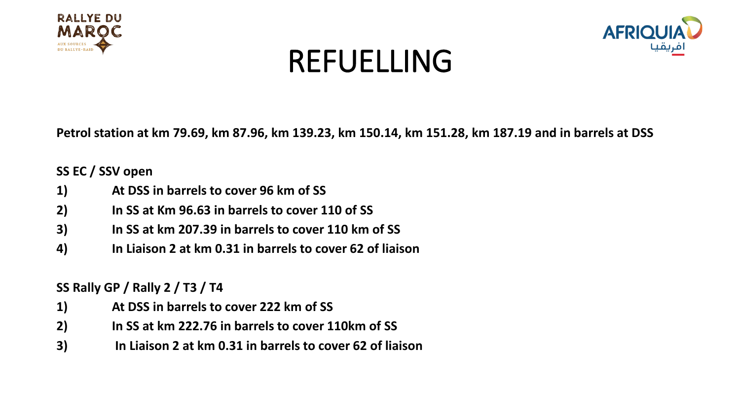



### REFUELLING

**Petrol station at km 79.69, km 87.96, km 139.23, km 150.14, km 151.28, km 187.19 and in barrels at DSS** 

#### **SS EC / SSV open**

- **1) At DSS in barrels to cover 96 km of SS**
- **2) In SS at Km 96.63 in barrels to cover 110 of SS**
- **3) In SS at km 207.39 in barrels to cover 110 km of SS**
- **4) In Liaison 2 at km 0.31 in barrels to cover 62 of liaison**

**SS Rally GP / Rally 2 / T3 / T4**

- **1) At DSS in barrels to cover 222 km of SS**
- **2) In SS at km 222.76 in barrels to cover 110km of SS**
- **3) In Liaison 2 at km 0.31 in barrels to cover 62 of liaison**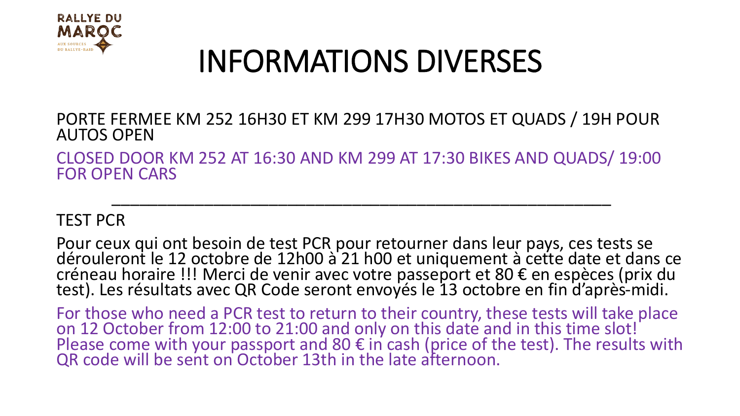

# INFORMATIONS DIVERSES

#### PORTE FERMEE KM 252 16H30 ET KM 299 17H30 MOTOS ET QUADS / 19H POUR AUTOS OPEN

CLOSED DOOR KM 252 AT 16:30 AND KM 299 AT 17:30 BIKES AND QUADS/ 19:00 FOR OPEN CARS

\_\_\_\_\_\_\_\_\_\_\_\_\_\_\_\_\_\_\_\_\_\_\_\_\_\_\_\_\_\_\_\_\_\_\_\_\_\_\_\_\_\_\_\_\_\_\_\_\_\_\_\_\_\_

### TEST PCR

Pour ceux qui ont besoin de test PCR pour retourner dans leur pays, ces tests se dérouleront le 12 octobre de 12h00 à 21 h00 et uniquement à cette date et dans ce créneau horaire !!! Merci de venir avec votre passeport et 80 € en espèces (prix du test). Les résultats avec QR Code seront envoyés le 13 octobre en fin d'après-midi.

For those who need a PCR test to return to their country, these tests will take place on 12 October from 12:00 to 21:00 and only on this date and in this time slot! Please come with your passport and 80  $\epsilon$  in cash (price of the test). The results with QR code will be sent on October 13th in the late afternoon.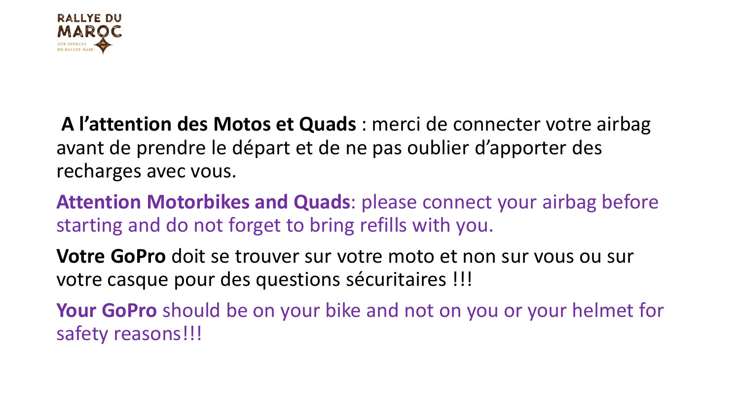

**A l'attention des Motos et Quads** : merci de connecter votre airbag avant de prendre le départ et de ne pas oublier d'apporter des recharges avec vous.

**Attention Motorbikes and Quads**: please connect your airbag before starting and do not forget to bring refills with you.

**Votre GoPro** doit se trouver sur votre moto et non sur vous ou sur votre casque pour des questions sécuritaires !!!

**Your GoPro** should be on your bike and not on you or your helmet for safety reasons!!!